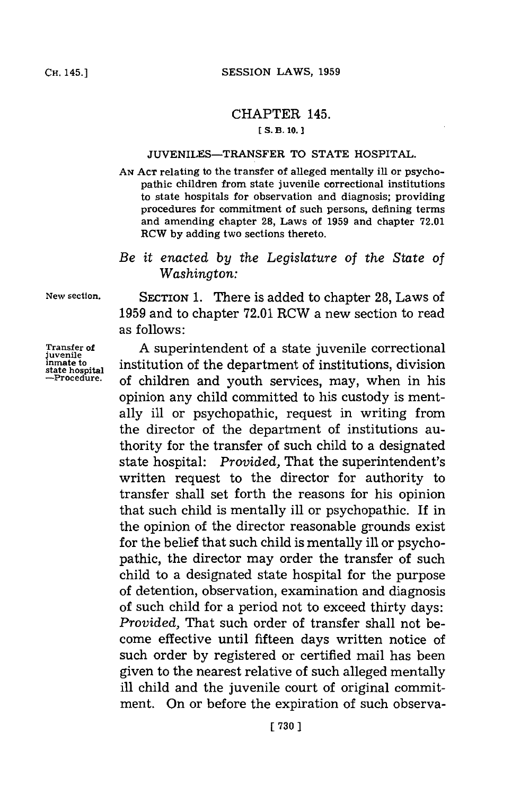## CHAPTER 145.

## **[S. B. 10.]1**

## **JUVENILES-TRANSFER** TO **STATE** HOSPITAL.

**AN ACT** relating to the transfer of alleged mentally ill or psychopathic children from state juvenile correctional institutions to state hospitals for observation and diagnosis; providing procedures for commitment of such persons, defining terms and amending chapter **28,** Laws of **1959** and chapter **72.01** RCW **by** adding two sections thereto.

## *Be it enacted by the Legislature of the State of Washington:*

**New** section. SECTION **1.** There is added to chapter **28,** Laws of **1959** and to chapter **72.01** RCW a new section to read as follows:

Transfer of **A** superintendent of a state juvenile correctional juveniles in the denartment of institutions division inmate to institution of the department of institutions, division **state hospital -Procedure,** of children and youth services, may, when in his opinion any child committed to his custody is mentally ill or psychopathic, request in writing from the director of the department of institutions authority for the transfer of such child to a designated state hospital: *Provided,* That the superintendent's written request to the director for authority to transfer shall set forth the reasons for his opinion that such child is mentally ill or psychopathic. If in the opinion of the director reasonable grounds exist for the belief that such child is mentally ill or psychopathic, the director may order the transfer of such child to a designated state hospital for the purpose of detention, observation, examination and diagnosis of such child for a period not to exceed thirty days: *Provided,* That such order of transfer shall not become effective until fifteen days written notice of such order **by** registered or certified mail has been given to the nearest relative of such alleged mentally ill child and the juvenile court of original commitment. On or before the expiration of such observa